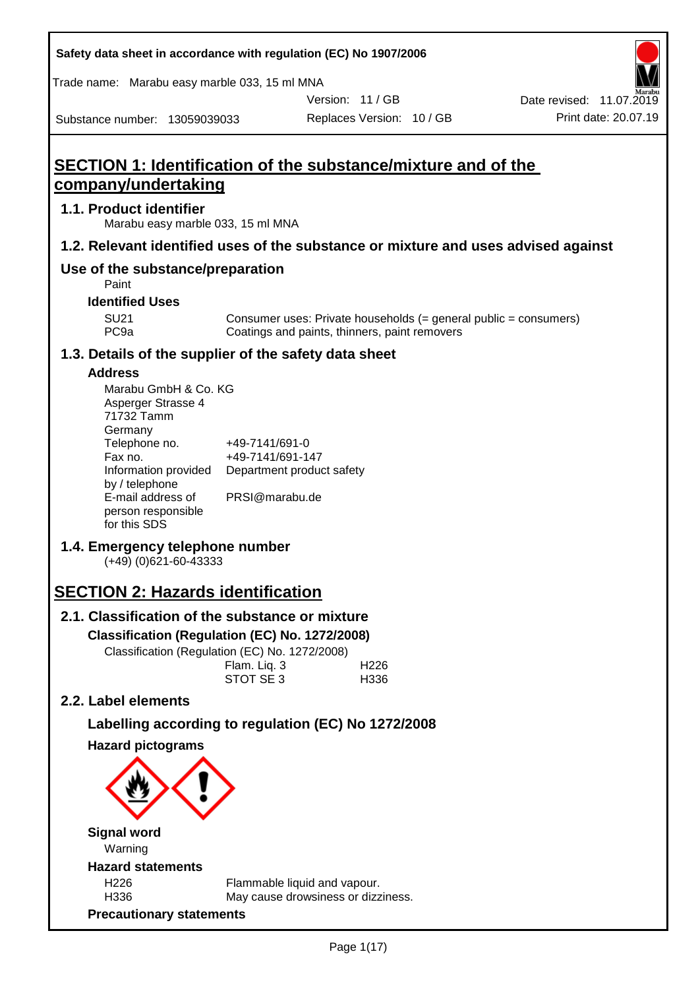Substance number: 13059039033 Version: 11 / GB Replaces Version: 10 / GB Print date: 20.07.19 Date revised: 11.07.2019 Trade name: Marabu easy marble 033, 15 ml MNA **SECTION 1: Identification of the substance/mixture and of the company/undertaking 1.1. Product identifier** Marabu easy marble 033, 15 ml MNA **1.2. Relevant identified uses of the substance or mixture and uses advised against Use of the substance/preparation** Paint **Identified Uses** SU21 Consumer uses: Private households (= general public = consumers)<br>PC9a Coatings and paints, thinners, paint removers Coatings and paints, thinners, paint removers **1.3. Details of the supplier of the safety data sheet Address** Marabu GmbH & Co. KG Asperger Strasse 4 71732 Tamm **Germany** Telephone no. +49-7141/691-0 Fax no.  $+49-7141/691-147$ Information provided Department product safety by / telephone E-mail address of person responsible for this SDS PRSI@marabu.de **1.4. Emergency telephone number** (+49) (0)621-60-43333 **SECTION 2: Hazards identification 2.1. Classification of the substance or mixture Classification (Regulation (EC) No. 1272/2008)** Classification (Regulation (EC) No. 1272/2008) Flam. Liq. 3 H226 STOT SE 3 H336 **2.2. Label elements Labelling according to regulation (EC) No 1272/2008 Hazard pictograms**

**Safety data sheet in accordance with regulation (EC) No 1907/2006**

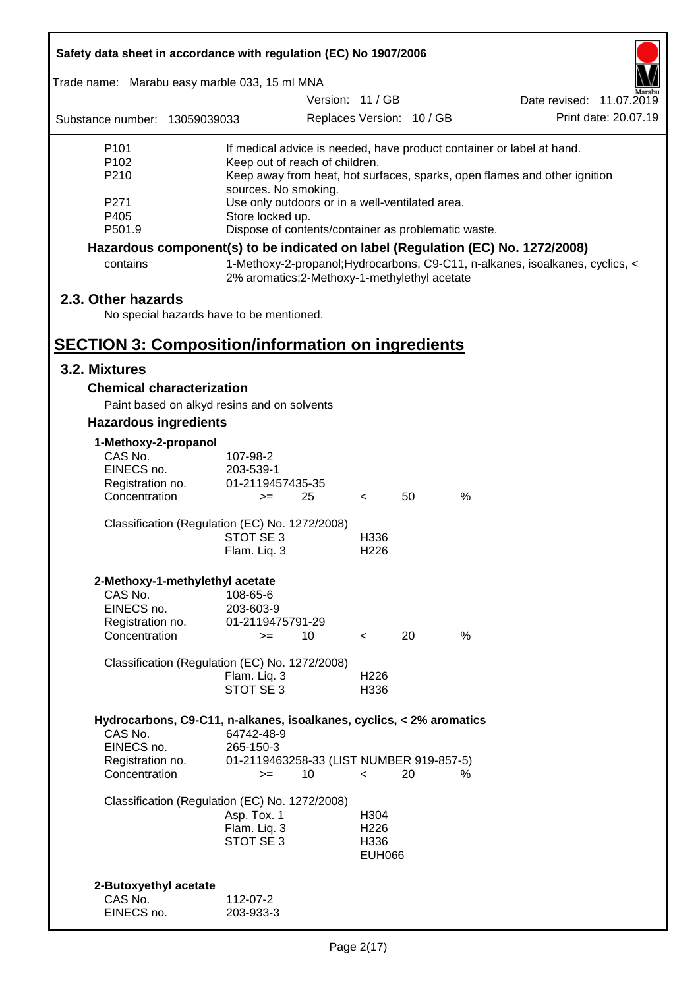| Safety data sheet in accordance with regulation (EC) No 1907/2006                             |                                                                                                                                                                                                                                                                                     |                  |                                       |                           |                                                                                                                                                                  |  |
|-----------------------------------------------------------------------------------------------|-------------------------------------------------------------------------------------------------------------------------------------------------------------------------------------------------------------------------------------------------------------------------------------|------------------|---------------------------------------|---------------------------|------------------------------------------------------------------------------------------------------------------------------------------------------------------|--|
| Trade name: Marabu easy marble 033, 15 ml MNA                                                 |                                                                                                                                                                                                                                                                                     |                  |                                       |                           |                                                                                                                                                                  |  |
|                                                                                               |                                                                                                                                                                                                                                                                                     | Version: 11 / GB |                                       |                           | Date revised: 11.07.2019                                                                                                                                         |  |
| Substance number: 13059039033                                                                 |                                                                                                                                                                                                                                                                                     |                  |                                       | Replaces Version: 10 / GB | Print date: 20.07.19                                                                                                                                             |  |
| P <sub>101</sub><br>P <sub>102</sub><br>P210<br>P271<br>P405                                  | If medical advice is needed, have product container or label at hand.<br>Keep out of reach of children.<br>Keep away from heat, hot surfaces, sparks, open flames and other ignition<br>sources. No smoking.<br>Use only outdoors or in a well-ventilated area.<br>Store locked up. |                  |                                       |                           |                                                                                                                                                                  |  |
| P501.9                                                                                        | Dispose of contents/container as problematic waste.                                                                                                                                                                                                                                 |                  |                                       |                           |                                                                                                                                                                  |  |
| contains                                                                                      | 2% aromatics;2-Methoxy-1-methylethyl acetate                                                                                                                                                                                                                                        |                  |                                       |                           | Hazardous component(s) to be indicated on label (Regulation (EC) No. 1272/2008)<br>1-Methoxy-2-propanol; Hydrocarbons, C9-C11, n-alkanes, isoalkanes, cyclics, < |  |
| 2.3. Other hazards<br>No special hazards have to be mentioned.                                |                                                                                                                                                                                                                                                                                     |                  |                                       |                           |                                                                                                                                                                  |  |
| <b>SECTION 3: Composition/information on ingredients</b>                                      |                                                                                                                                                                                                                                                                                     |                  |                                       |                           |                                                                                                                                                                  |  |
| 3.2. Mixtures                                                                                 |                                                                                                                                                                                                                                                                                     |                  |                                       |                           |                                                                                                                                                                  |  |
| <b>Chemical characterization</b>                                                              |                                                                                                                                                                                                                                                                                     |                  |                                       |                           |                                                                                                                                                                  |  |
| Paint based on alkyd resins and on solvents                                                   |                                                                                                                                                                                                                                                                                     |                  |                                       |                           |                                                                                                                                                                  |  |
| <b>Hazardous ingredients</b>                                                                  |                                                                                                                                                                                                                                                                                     |                  |                                       |                           |                                                                                                                                                                  |  |
| 1-Methoxy-2-propanol<br>CAS No.<br>EINECS no.<br>Registration no.<br>Concentration            | 107-98-2<br>203-539-1<br>01-2119457435-35<br>$>=$                                                                                                                                                                                                                                   | 25               | $\lt$                                 | 50                        | %                                                                                                                                                                |  |
| Classification (Regulation (EC) No. 1272/2008)                                                | STOT SE 3<br>Flam. Lig. 3                                                                                                                                                                                                                                                           |                  | H <sub>336</sub><br>H <sub>226</sub>  |                           |                                                                                                                                                                  |  |
| 2-Methoxy-1-methylethyl acetate<br>CAS No.<br>EINECS no.<br>Registration no.<br>Concentration | 108-65-6<br>203-603-9<br>01-2119475791-29<br>$>=$                                                                                                                                                                                                                                   | 10               | $\overline{\phantom{a}}$              | 20                        | %                                                                                                                                                                |  |
| Classification (Regulation (EC) No. 1272/2008)                                                | Flam. Liq. 3<br>STOT SE 3                                                                                                                                                                                                                                                           |                  | H <sub>226</sub><br>H336              |                           |                                                                                                                                                                  |  |
| Hydrocarbons, C9-C11, n-alkanes, isoalkanes, cyclics, < 2% aromatics<br>CAS No.<br>EINECS no. | 64742-48-9<br>265-150-3                                                                                                                                                                                                                                                             |                  |                                       |                           |                                                                                                                                                                  |  |
| Registration no.<br>Concentration                                                             | 01-2119463258-33 (LIST NUMBER 919-857-5)<br>$>=$                                                                                                                                                                                                                                    | 10               | $\overline{\phantom{a}}$              | 20                        | ℅                                                                                                                                                                |  |
| Classification (Regulation (EC) No. 1272/2008)                                                | Asp. Tox. 1<br>Flam. Liq. 3<br>STOT SE 3                                                                                                                                                                                                                                            |                  | H304<br>H226<br>H336<br><b>EUH066</b> |                           |                                                                                                                                                                  |  |
| 2-Butoxyethyl acetate<br>CAS No.<br>EINECS no.                                                | 112-07-2<br>203-933-3                                                                                                                                                                                                                                                               |                  |                                       |                           |                                                                                                                                                                  |  |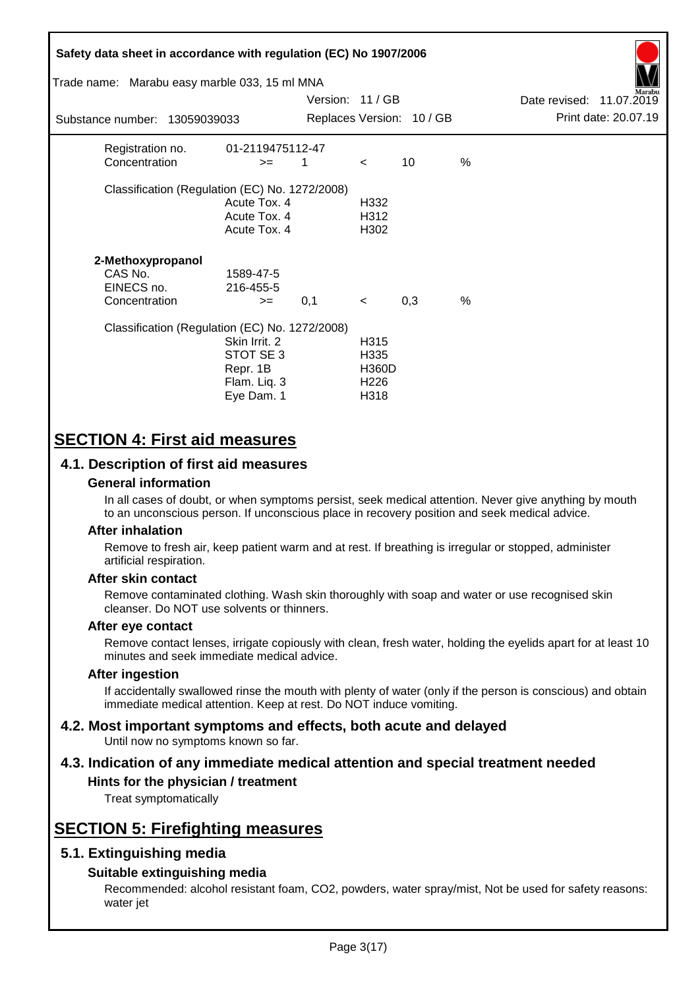| Safety data sheet in accordance with regulation (EC) No 1907/2006<br>Trade name: Marabu easy marble 033, 15 ml MNA |                                                                      |                  |                                                          |                           |               |                          | arabu                |
|--------------------------------------------------------------------------------------------------------------------|----------------------------------------------------------------------|------------------|----------------------------------------------------------|---------------------------|---------------|--------------------------|----------------------|
|                                                                                                                    |                                                                      | Version: 11 / GB |                                                          |                           |               | Date revised: 11.07.2019 |                      |
| Substance number: 13059039033                                                                                      |                                                                      |                  |                                                          | Replaces Version: 10 / GB |               |                          | Print date: 20.07.19 |
| Registration no.<br>Concentration                                                                                  | 01-2119475112-47<br>$>=$                                             | 1                | $\lt$                                                    | 10                        | $\frac{0}{0}$ |                          |                      |
| Classification (Regulation (EC) No. 1272/2008)                                                                     | Acute Tox. 4<br>Acute Tox. 4<br>Acute Tox. 4                         |                  | H332<br>H312<br>H302                                     |                           |               |                          |                      |
| 2-Methoxypropanol<br>CAS No.<br>EINECS no.<br>Concentration                                                        | 1589-47-5<br>216-455-5<br>$>=$                                       | 0,1              | $\prec$                                                  | 0,3                       | $\frac{0}{0}$ |                          |                      |
| Classification (Regulation (EC) No. 1272/2008)                                                                     | Skin Irrit, 2<br>STOT SE 3<br>Repr. 1B<br>Flam. Liq. 3<br>Eye Dam. 1 |                  | H315<br>H335<br><b>H360D</b><br>H <sub>226</sub><br>H318 |                           |               |                          |                      |

# **SECTION 4: First aid measures**

## **4.1. Description of first aid measures**

### **General information**

In all cases of doubt, or when symptoms persist, seek medical attention. Never give anything by mouth to an unconscious person. If unconscious place in recovery position and seek medical advice.

### **After inhalation**

Remove to fresh air, keep patient warm and at rest. If breathing is irregular or stopped, administer artificial respiration.

### **After skin contact**

Remove contaminated clothing. Wash skin thoroughly with soap and water or use recognised skin cleanser. Do NOT use solvents or thinners.

### **After eye contact**

Remove contact lenses, irrigate copiously with clean, fresh water, holding the eyelids apart for at least 10 minutes and seek immediate medical advice.

#### **After ingestion**

If accidentally swallowed rinse the mouth with plenty of water (only if the person is conscious) and obtain immediate medical attention. Keep at rest. Do NOT induce vomiting.

#### **4.2. Most important symptoms and effects, both acute and delayed** Until now no symptoms known so far.

# **4.3. Indication of any immediate medical attention and special treatment needed**

## **Hints for the physician / treatment**

Treat symptomatically

# **SECTION 5: Firefighting measures**

## **5.1. Extinguishing media**

### **Suitable extinguishing media**

Recommended: alcohol resistant foam, CO2, powders, water spray/mist, Not be used for safety reasons: water jet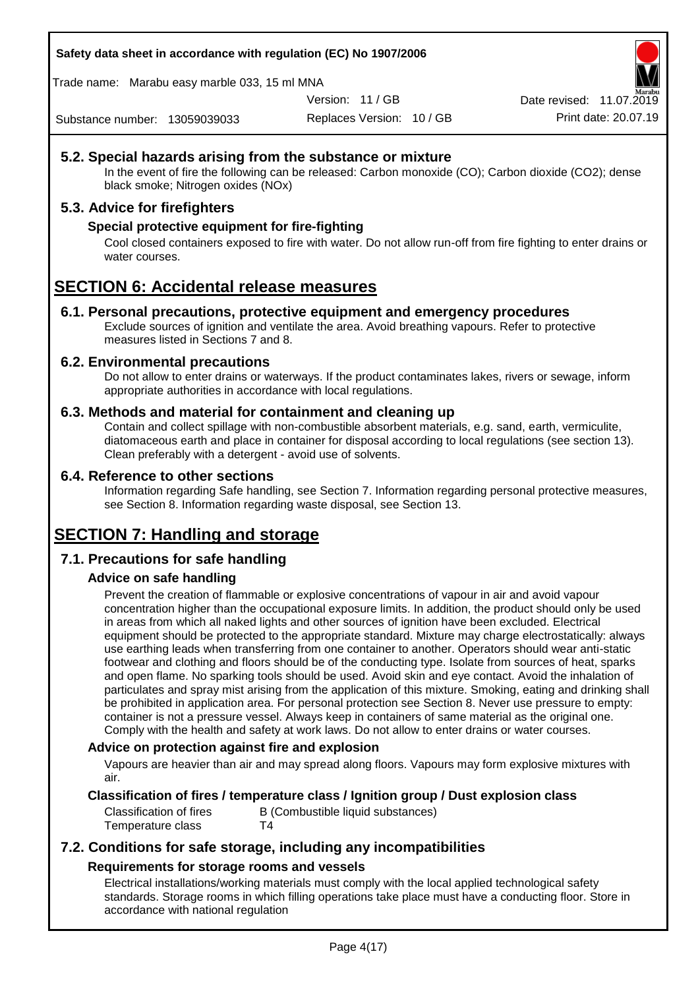**Safety data sheet in accordance with regulation (EC) No 1907/2006**

Trade name: Marabu easy marble 033, 15 ml MNA

Version: 11 / GB

Replaces Version: 10 / GB Print date: 20.07.19 Date revised: 11.07.2019

Substance number: 13059039033

## **5.2. Special hazards arising from the substance or mixture**

In the event of fire the following can be released: Carbon monoxide (CO); Carbon dioxide (CO2); dense black smoke; Nitrogen oxides (NOx)

## **5.3. Advice for firefighters**

### **Special protective equipment for fire-fighting**

Cool closed containers exposed to fire with water. Do not allow run-off from fire fighting to enter drains or water courses.

# **SECTION 6: Accidental release measures**

### **6.1. Personal precautions, protective equipment and emergency procedures**

Exclude sources of ignition and ventilate the area. Avoid breathing vapours. Refer to protective measures listed in Sections 7 and 8.

### **6.2. Environmental precautions**

Do not allow to enter drains or waterways. If the product contaminates lakes, rivers or sewage, inform appropriate authorities in accordance with local regulations.

### **6.3. Methods and material for containment and cleaning up**

Contain and collect spillage with non-combustible absorbent materials, e.g. sand, earth, vermiculite, diatomaceous earth and place in container for disposal according to local regulations (see section 13). Clean preferably with a detergent - avoid use of solvents.

### **6.4. Reference to other sections**

Information regarding Safe handling, see Section 7. Information regarding personal protective measures, see Section 8. Information regarding waste disposal, see Section 13.

# **SECTION 7: Handling and storage**

## **7.1. Precautions for safe handling**

### **Advice on safe handling**

Prevent the creation of flammable or explosive concentrations of vapour in air and avoid vapour concentration higher than the occupational exposure limits. In addition, the product should only be used in areas from which all naked lights and other sources of ignition have been excluded. Electrical equipment should be protected to the appropriate standard. Mixture may charge electrostatically: always use earthing leads when transferring from one container to another. Operators should wear anti-static footwear and clothing and floors should be of the conducting type. Isolate from sources of heat, sparks and open flame. No sparking tools should be used. Avoid skin and eye contact. Avoid the inhalation of particulates and spray mist arising from the application of this mixture. Smoking, eating and drinking shall be prohibited in application area. For personal protection see Section 8. Never use pressure to empty: container is not a pressure vessel. Always keep in containers of same material as the original one. Comply with the health and safety at work laws. Do not allow to enter drains or water courses.

### **Advice on protection against fire and explosion**

Vapours are heavier than air and may spread along floors. Vapours may form explosive mixtures with air.

### **Classification of fires / temperature class / Ignition group / Dust explosion class**

Classification of fires B (Combustible liquid substances) Temperature class T4

## **7.2. Conditions for safe storage, including any incompatibilities Requirements for storage rooms and vessels**

Electrical installations/working materials must comply with the local applied technological safety standards. Storage rooms in which filling operations take place must have a conducting floor. Store in accordance with national regulation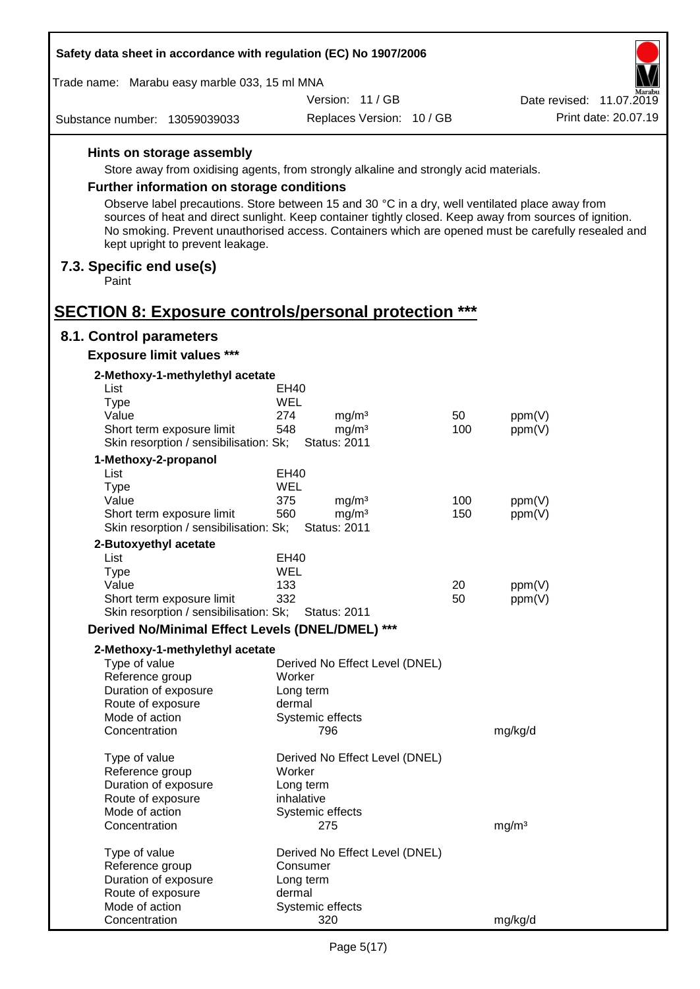| Safety data sheet in accordance with regulation (EC) No 1907/2006                      |                                                                                                                                                                                                                |     |                          |
|----------------------------------------------------------------------------------------|----------------------------------------------------------------------------------------------------------------------------------------------------------------------------------------------------------------|-----|--------------------------|
| Trade name: Marabu easy marble 033, 15 ml MNA                                          |                                                                                                                                                                                                                |     |                          |
|                                                                                        | Version: 11 / GB                                                                                                                                                                                               |     | Date revised: 11.07.2019 |
| Substance number: 13059039033                                                          | Replaces Version: 10 / GB                                                                                                                                                                                      |     | Print date: 20.07.19     |
| Hints on storage assembly                                                              |                                                                                                                                                                                                                |     |                          |
|                                                                                        | Store away from oxidising agents, from strongly alkaline and strongly acid materials.                                                                                                                          |     |                          |
| <b>Further information on storage conditions</b>                                       |                                                                                                                                                                                                                |     |                          |
|                                                                                        | Observe label precautions. Store between 15 and 30 °C in a dry, well ventilated place away from                                                                                                                |     |                          |
| kept upright to prevent leakage.                                                       | sources of heat and direct sunlight. Keep container tightly closed. Keep away from sources of ignition.<br>No smoking. Prevent unauthorised access. Containers which are opened must be carefully resealed and |     |                          |
| 7.3. Specific end use(s)<br>Paint                                                      |                                                                                                                                                                                                                |     |                          |
|                                                                                        |                                                                                                                                                                                                                |     |                          |
| <b>SECTION 8: Exposure controls/personal protection ***</b><br>8.1. Control parameters |                                                                                                                                                                                                                |     |                          |
|                                                                                        |                                                                                                                                                                                                                |     |                          |
| <b>Exposure limit values ***</b>                                                       |                                                                                                                                                                                                                |     |                          |
| 2-Methoxy-1-methylethyl acetate                                                        |                                                                                                                                                                                                                |     |                          |
| List<br><b>Type</b>                                                                    | EH40<br><b>WEL</b>                                                                                                                                                                                             |     |                          |
| Value                                                                                  | 274<br>mg/m <sup>3</sup>                                                                                                                                                                                       | 50  | ppm(V)                   |
| Short term exposure limit                                                              | 548<br>mg/m <sup>3</sup>                                                                                                                                                                                       | 100 | ppm(V)                   |
| Skin resorption / sensibilisation: Sk;                                                 | <b>Status: 2011</b>                                                                                                                                                                                            |     |                          |
| 1-Methoxy-2-propanol                                                                   |                                                                                                                                                                                                                |     |                          |
| List                                                                                   | EH40                                                                                                                                                                                                           |     |                          |
| <b>Type</b>                                                                            | WEL                                                                                                                                                                                                            |     |                          |
| Value                                                                                  | 375<br>mg/m <sup>3</sup>                                                                                                                                                                                       | 100 | ppm(V)                   |
| Short term exposure limit<br>Skin resorption / sensibilisation: Sk;                    | 560<br>mg/m <sup>3</sup><br><b>Status: 2011</b>                                                                                                                                                                | 150 | ppm(V)                   |
| 2-Butoxyethyl acetate                                                                  |                                                                                                                                                                                                                |     |                          |
| List                                                                                   | EH40                                                                                                                                                                                                           |     |                          |
| Type                                                                                   | WEL                                                                                                                                                                                                            |     |                          |
| Value                                                                                  | 133                                                                                                                                                                                                            | 20  | ppm(V)                   |
| Short term exposure limit                                                              | 332                                                                                                                                                                                                            | 50  | ppm(V)                   |
| Skin resorption / sensibilisation: Sk;                                                 | <b>Status: 2011</b>                                                                                                                                                                                            |     |                          |
| Derived No/Minimal Effect Levels (DNEL/DMEL) ***                                       |                                                                                                                                                                                                                |     |                          |
| 2-Methoxy-1-methylethyl acetate                                                        |                                                                                                                                                                                                                |     |                          |
| Type of value                                                                          | Derived No Effect Level (DNEL)                                                                                                                                                                                 |     |                          |
| Reference group                                                                        | Worker                                                                                                                                                                                                         |     |                          |
| Duration of exposure<br>Route of exposure                                              | Long term<br>dermal                                                                                                                                                                                            |     |                          |
| Mode of action                                                                         | Systemic effects                                                                                                                                                                                               |     |                          |
| Concentration                                                                          | 796                                                                                                                                                                                                            |     | mg/kg/d                  |
| Type of value                                                                          | Derived No Effect Level (DNEL)                                                                                                                                                                                 |     |                          |
| Reference group                                                                        | Worker                                                                                                                                                                                                         |     |                          |
| Duration of exposure                                                                   | Long term                                                                                                                                                                                                      |     |                          |
| Route of exposure                                                                      | inhalative                                                                                                                                                                                                     |     |                          |
| Mode of action<br>Concentration                                                        | Systemic effects<br>275                                                                                                                                                                                        |     | mg/m <sup>3</sup>        |
|                                                                                        |                                                                                                                                                                                                                |     |                          |
| Type of value<br>Reference group                                                       | Derived No Effect Level (DNEL)<br>Consumer                                                                                                                                                                     |     |                          |
| Duration of exposure                                                                   | Long term                                                                                                                                                                                                      |     |                          |
| Route of exposure                                                                      | dermal                                                                                                                                                                                                         |     |                          |
| Mode of action                                                                         | Systemic effects                                                                                                                                                                                               |     |                          |
| Concentration                                                                          | 320                                                                                                                                                                                                            |     | mg/kg/d                  |

 $\Gamma$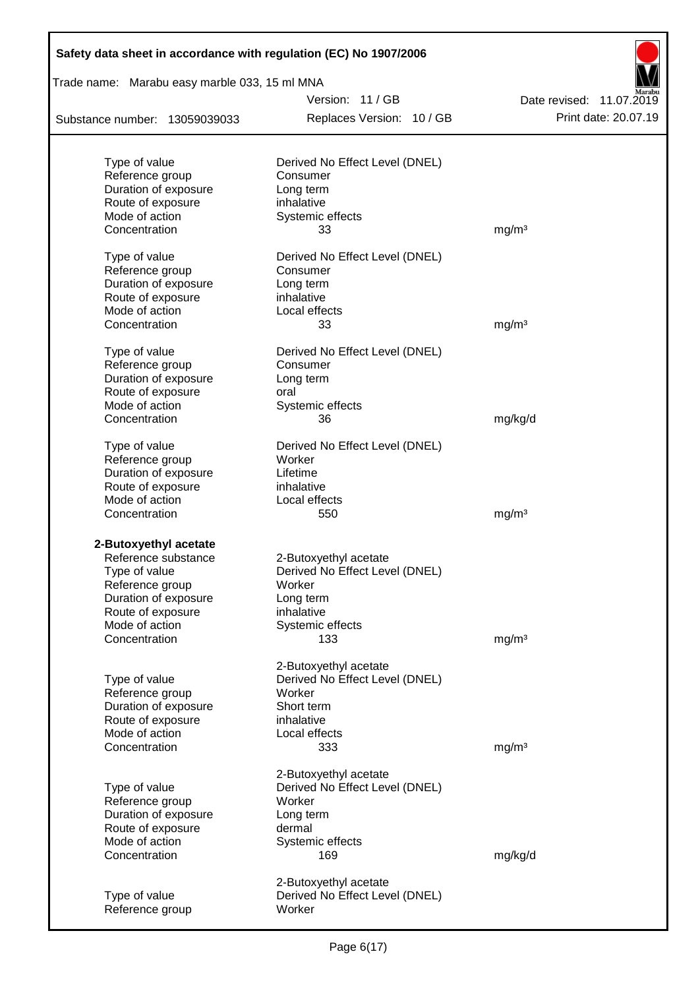| Safety data sheet in accordance with regulation (EC) No 1907/2006 |                                |                          |
|-------------------------------------------------------------------|--------------------------------|--------------------------|
| Trade name: Marabu easy marble 033, 15 ml MNA                     |                                |                          |
|                                                                   | Version: 11/GB                 | Date revised: 11.07.2019 |
| Substance number: 13059039033                                     | Replaces Version: 10 / GB      | Print date: 20.07.19     |
|                                                                   |                                |                          |
| Type of value                                                     | Derived No Effect Level (DNEL) |                          |
| Reference group<br>Duration of exposure                           | Consumer<br>Long term          |                          |
| Route of exposure                                                 | inhalative                     |                          |
| Mode of action                                                    | Systemic effects               |                          |
| Concentration                                                     | 33                             | mg/m <sup>3</sup>        |
| Type of value                                                     | Derived No Effect Level (DNEL) |                          |
| Reference group                                                   | Consumer                       |                          |
| Duration of exposure                                              | Long term                      |                          |
| Route of exposure                                                 | inhalative                     |                          |
| Mode of action                                                    | Local effects                  |                          |
| Concentration                                                     | 33                             | mg/m <sup>3</sup>        |
| Type of value                                                     | Derived No Effect Level (DNEL) |                          |
| Reference group                                                   | Consumer                       |                          |
| Duration of exposure                                              | Long term                      |                          |
| Route of exposure                                                 | oral                           |                          |
| Mode of action                                                    | Systemic effects               |                          |
| Concentration                                                     | 36                             | mg/kg/d                  |
| Type of value                                                     | Derived No Effect Level (DNEL) |                          |
| Reference group                                                   | Worker                         |                          |
| Duration of exposure                                              | Lifetime                       |                          |
| Route of exposure                                                 | inhalative                     |                          |
| Mode of action                                                    | Local effects                  |                          |
| Concentration                                                     | 550                            | mg/m <sup>3</sup>        |
| 2-Butoxyethyl acetate                                             |                                |                          |
| Reference substance                                               | 2-Butoxyethyl acetate          |                          |
| Type of value                                                     | Derived No Effect Level (DNEL) |                          |
| Reference group                                                   | Worker                         |                          |
| Duration of exposure                                              | Long term                      |                          |
| Route of exposure                                                 | inhalative                     |                          |
| Mode of action                                                    | Systemic effects               |                          |
| Concentration                                                     | 133                            | mg/m <sup>3</sup>        |
|                                                                   | 2-Butoxyethyl acetate          |                          |
| Type of value                                                     | Derived No Effect Level (DNEL) |                          |
| Reference group                                                   | Worker                         |                          |
| Duration of exposure                                              | Short term                     |                          |
| Route of exposure                                                 | inhalative                     |                          |
| Mode of action                                                    | Local effects                  |                          |
| Concentration                                                     | 333                            | mg/m <sup>3</sup>        |
|                                                                   | 2-Butoxyethyl acetate          |                          |
| Type of value                                                     | Derived No Effect Level (DNEL) |                          |
| Reference group                                                   | Worker                         |                          |
| Duration of exposure                                              | Long term                      |                          |
| Route of exposure                                                 | dermal                         |                          |
| Mode of action                                                    | Systemic effects               |                          |
| Concentration                                                     | 169                            | mg/kg/d                  |
|                                                                   | 2-Butoxyethyl acetate          |                          |
| Type of value                                                     | Derived No Effect Level (DNEL) |                          |
| Reference group                                                   | Worker                         |                          |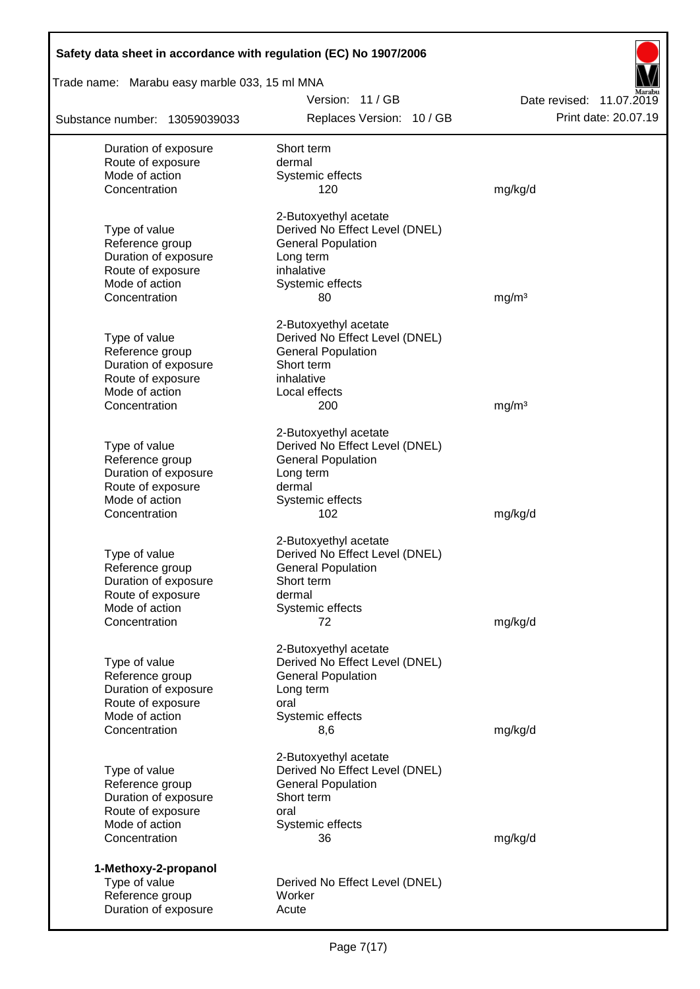| Safety data sheet in accordance with regulation (EC) No 1907/2006 |                                                             |                                                  |
|-------------------------------------------------------------------|-------------------------------------------------------------|--------------------------------------------------|
| Trade name: Marabu easy marble 033, 15 ml MNA                     |                                                             |                                                  |
| Substance number: 13059039033                                     | Version: 11 / GB<br>Replaces Version: 10 / GB               | Date revised: 11.07.2019<br>Print date: 20.07.19 |
|                                                                   |                                                             |                                                  |
| Duration of exposure<br>Route of exposure                         | Short term<br>dermal                                        |                                                  |
| Mode of action                                                    | Systemic effects                                            |                                                  |
| Concentration                                                     | 120                                                         | mg/kg/d                                          |
|                                                                   | 2-Butoxyethyl acetate                                       |                                                  |
| Type of value                                                     | Derived No Effect Level (DNEL)                              |                                                  |
| Reference group                                                   | <b>General Population</b>                                   |                                                  |
| Duration of exposure<br>Route of exposure                         | Long term<br>inhalative                                     |                                                  |
| Mode of action                                                    | Systemic effects                                            |                                                  |
| Concentration                                                     | 80                                                          | mg/m <sup>3</sup>                                |
|                                                                   | 2-Butoxyethyl acetate                                       |                                                  |
| Type of value                                                     | Derived No Effect Level (DNEL)                              |                                                  |
| Reference group                                                   | <b>General Population</b>                                   |                                                  |
| Duration of exposure                                              | Short term                                                  |                                                  |
| Route of exposure                                                 | inhalative                                                  |                                                  |
| Mode of action<br>Concentration                                   | Local effects<br>200                                        | mg/m <sup>3</sup>                                |
|                                                                   |                                                             |                                                  |
|                                                                   | 2-Butoxyethyl acetate                                       |                                                  |
| Type of value                                                     | Derived No Effect Level (DNEL)                              |                                                  |
| Reference group<br>Duration of exposure                           | <b>General Population</b><br>Long term                      |                                                  |
| Route of exposure                                                 | dermal                                                      |                                                  |
| Mode of action                                                    | Systemic effects                                            |                                                  |
| Concentration                                                     | 102                                                         | mg/kg/d                                          |
|                                                                   | 2-Butoxyethyl acetate                                       |                                                  |
| Type of value                                                     | Derived No Effect Level (DNEL)                              |                                                  |
| Reference group                                                   | <b>General Population</b>                                   |                                                  |
| Duration of exposure<br>Route of exposure                         | Short term<br>dermal                                        |                                                  |
| Mode of action                                                    | Systemic effects                                            |                                                  |
| Concentration                                                     | 72                                                          | mg/kg/d                                          |
|                                                                   |                                                             |                                                  |
| Type of value                                                     | 2-Butoxyethyl acetate<br>Derived No Effect Level (DNEL)     |                                                  |
| Reference group                                                   | <b>General Population</b>                                   |                                                  |
| Duration of exposure                                              | Long term                                                   |                                                  |
| Route of exposure                                                 | oral                                                        |                                                  |
| Mode of action<br>Concentration                                   | Systemic effects<br>8,6                                     | mg/kg/d                                          |
|                                                                   |                                                             |                                                  |
|                                                                   | 2-Butoxyethyl acetate                                       |                                                  |
| Type of value<br>Reference group                                  | Derived No Effect Level (DNEL)<br><b>General Population</b> |                                                  |
| Duration of exposure                                              | Short term                                                  |                                                  |
| Route of exposure                                                 | oral                                                        |                                                  |
| Mode of action                                                    | Systemic effects                                            |                                                  |
| Concentration                                                     | 36                                                          | mg/kg/d                                          |
| 1-Methoxy-2-propanol                                              |                                                             |                                                  |
| Type of value                                                     | Derived No Effect Level (DNEL)                              |                                                  |
| Reference group                                                   | Worker                                                      |                                                  |
| Duration of exposure                                              | Acute                                                       |                                                  |

Г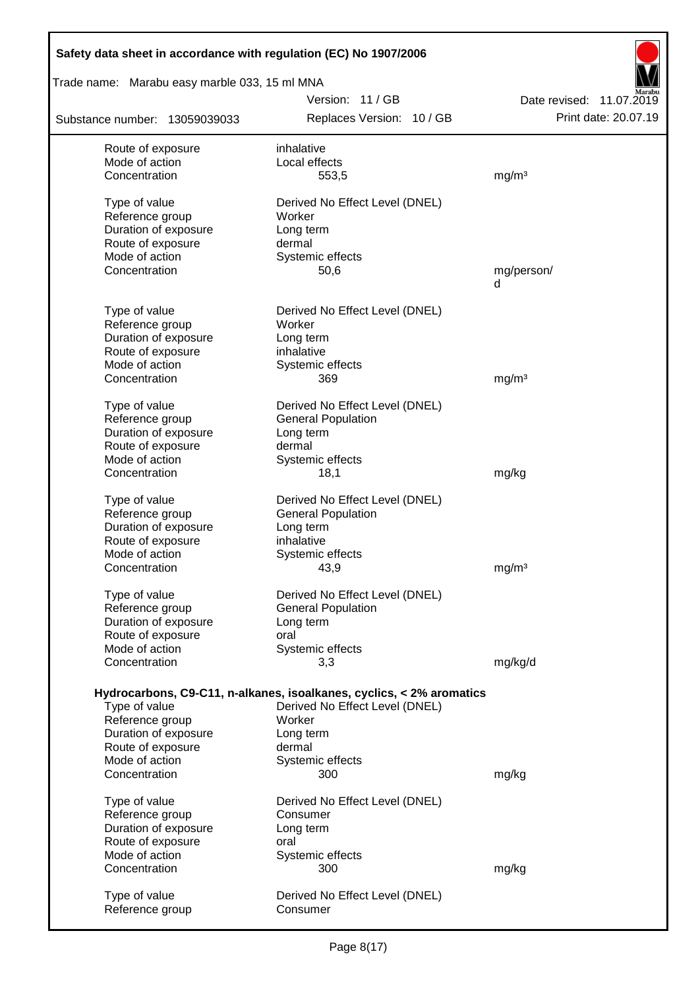| Safety data sheet in accordance with regulation (EC) No 1907/2006 |                                                                      |                          |  |  |  |
|-------------------------------------------------------------------|----------------------------------------------------------------------|--------------------------|--|--|--|
| Trade name: Marabu easy marble 033, 15 ml MNA                     |                                                                      |                          |  |  |  |
|                                                                   | Version: 11 / GB                                                     | Date revised: 11.07.2019 |  |  |  |
| Substance number: 13059039033                                     | Replaces Version: 10 / GB                                            | Print date: 20.07.19     |  |  |  |
| Route of exposure                                                 | inhalative                                                           |                          |  |  |  |
| Mode of action                                                    | Local effects                                                        |                          |  |  |  |
| Concentration                                                     | 553,5                                                                | mg/m <sup>3</sup>        |  |  |  |
| Type of value                                                     | Derived No Effect Level (DNEL)                                       |                          |  |  |  |
| Reference group                                                   | Worker                                                               |                          |  |  |  |
| Duration of exposure                                              | Long term                                                            |                          |  |  |  |
| Route of exposure                                                 | dermal                                                               |                          |  |  |  |
| Mode of action                                                    | Systemic effects                                                     |                          |  |  |  |
| Concentration                                                     | 50,6                                                                 | mg/person/<br>d          |  |  |  |
|                                                                   |                                                                      |                          |  |  |  |
| Type of value                                                     | Derived No Effect Level (DNEL)                                       |                          |  |  |  |
| Reference group                                                   | Worker                                                               |                          |  |  |  |
| Duration of exposure                                              | Long term                                                            |                          |  |  |  |
| Route of exposure<br>Mode of action                               | inhalative<br>Systemic effects                                       |                          |  |  |  |
| Concentration                                                     | 369                                                                  | mg/m <sup>3</sup>        |  |  |  |
|                                                                   |                                                                      |                          |  |  |  |
| Type of value                                                     | Derived No Effect Level (DNEL)                                       |                          |  |  |  |
| Reference group                                                   | <b>General Population</b>                                            |                          |  |  |  |
| Duration of exposure                                              | Long term<br>dermal                                                  |                          |  |  |  |
| Route of exposure<br>Mode of action                               | Systemic effects                                                     |                          |  |  |  |
| Concentration                                                     | 18,1                                                                 | mg/kg                    |  |  |  |
|                                                                   |                                                                      |                          |  |  |  |
| Type of value                                                     | Derived No Effect Level (DNEL)                                       |                          |  |  |  |
| Reference group                                                   | <b>General Population</b>                                            |                          |  |  |  |
| Duration of exposure<br>Route of exposure                         | Long term<br>inhalative                                              |                          |  |  |  |
| Mode of action                                                    | Systemic effects                                                     |                          |  |  |  |
| Concentration                                                     | 43,9                                                                 | mg/m <sup>3</sup>        |  |  |  |
|                                                                   |                                                                      |                          |  |  |  |
| Type of value                                                     | Derived No Effect Level (DNEL)                                       |                          |  |  |  |
| Reference group                                                   | <b>General Population</b>                                            |                          |  |  |  |
| Duration of exposure<br>Route of exposure                         | Long term<br>oral                                                    |                          |  |  |  |
| Mode of action                                                    | Systemic effects                                                     |                          |  |  |  |
| Concentration                                                     | 3,3                                                                  | mg/kg/d                  |  |  |  |
|                                                                   |                                                                      |                          |  |  |  |
|                                                                   | Hydrocarbons, C9-C11, n-alkanes, isoalkanes, cyclics, < 2% aromatics |                          |  |  |  |
| Type of value                                                     | Derived No Effect Level (DNEL)                                       |                          |  |  |  |
| Reference group                                                   | Worker                                                               |                          |  |  |  |
| Duration of exposure<br>Route of exposure                         | Long term<br>dermal                                                  |                          |  |  |  |
| Mode of action                                                    | Systemic effects                                                     |                          |  |  |  |
| Concentration                                                     | 300                                                                  | mg/kg                    |  |  |  |
|                                                                   |                                                                      |                          |  |  |  |
| Type of value                                                     | Derived No Effect Level (DNEL)                                       |                          |  |  |  |
| Reference group                                                   | Consumer                                                             |                          |  |  |  |
| Duration of exposure<br>Route of exposure                         | Long term<br>oral                                                    |                          |  |  |  |
| Mode of action                                                    | Systemic effects                                                     |                          |  |  |  |
| Concentration                                                     | 300                                                                  | mg/kg                    |  |  |  |
|                                                                   |                                                                      |                          |  |  |  |
| Type of value                                                     | Derived No Effect Level (DNEL)                                       |                          |  |  |  |
| Reference group                                                   | Consumer                                                             |                          |  |  |  |

 $\overline{\phantom{a}}$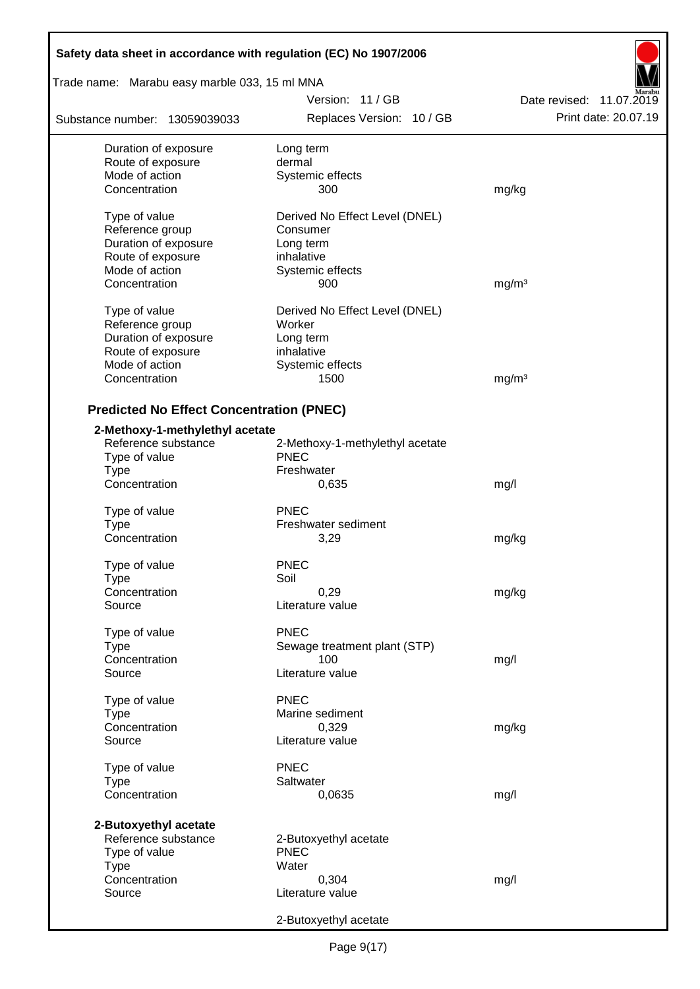| Safety data sheet in accordance with regulation (EC) No 1907/2006 |                                 |                          |
|-------------------------------------------------------------------|---------------------------------|--------------------------|
| Trade name: Marabu easy marble 033, 15 ml MNA                     |                                 |                          |
|                                                                   | Version: 11/GB                  | Date revised: 11.07.2019 |
| Substance number: 13059039033                                     | Replaces Version: 10 / GB       | Print date: 20.07.19     |
| Duration of exposure                                              | Long term                       |                          |
| Route of exposure                                                 | dermal                          |                          |
| Mode of action                                                    | Systemic effects                |                          |
| Concentration                                                     | 300                             | mg/kg                    |
| Type of value                                                     | Derived No Effect Level (DNEL)  |                          |
| Reference group                                                   | Consumer                        |                          |
| Duration of exposure                                              | Long term                       |                          |
| Route of exposure                                                 | inhalative                      |                          |
| Mode of action                                                    | Systemic effects                |                          |
| Concentration                                                     | 900                             | mg/m <sup>3</sup>        |
|                                                                   |                                 |                          |
| Type of value                                                     | Derived No Effect Level (DNEL)  |                          |
| Reference group                                                   | Worker                          |                          |
| Duration of exposure                                              | Long term                       |                          |
| Route of exposure                                                 | inhalative                      |                          |
| Mode of action                                                    | Systemic effects                |                          |
| Concentration                                                     | 1500                            | mg/m <sup>3</sup>        |
|                                                                   |                                 |                          |
| <b>Predicted No Effect Concentration (PNEC)</b>                   |                                 |                          |
| 2-Methoxy-1-methylethyl acetate                                   |                                 |                          |
| Reference substance                                               | 2-Methoxy-1-methylethyl acetate |                          |
| Type of value                                                     | <b>PNEC</b>                     |                          |
| <b>Type</b>                                                       | Freshwater                      |                          |
| Concentration                                                     | 0,635                           | mg/l                     |
| Type of value                                                     | <b>PNEC</b>                     |                          |
|                                                                   | Freshwater sediment             |                          |
| Type<br>Concentration                                             | 3,29                            | mg/kg                    |
|                                                                   |                                 |                          |
| Type of value                                                     | <b>PNEC</b>                     |                          |
| Type                                                              | Soil                            |                          |
| Concentration                                                     | 0,29                            | mg/kg                    |
| Source                                                            | Literature value                |                          |
| Type of value                                                     | <b>PNEC</b>                     |                          |
| <b>Type</b>                                                       | Sewage treatment plant (STP)    |                          |
|                                                                   |                                 |                          |
| Concentration                                                     | 100                             | mg/l                     |
| Source                                                            | Literature value                |                          |
| Type of value                                                     | <b>PNEC</b>                     |                          |
| Type                                                              | Marine sediment                 |                          |
| Concentration                                                     | 0,329                           | mg/kg                    |
| Source                                                            | Literature value                |                          |
|                                                                   |                                 |                          |
| Type of value                                                     | <b>PNEC</b>                     |                          |
| <b>Type</b>                                                       | Saltwater                       |                          |
| Concentration                                                     | 0,0635                          | mg/l                     |
| 2-Butoxyethyl acetate                                             |                                 |                          |
| Reference substance                                               | 2-Butoxyethyl acetate           |                          |
| Type of value                                                     | <b>PNEC</b>                     |                          |
| <b>Type</b>                                                       | Water                           |                          |
| Concentration                                                     | 0,304                           |                          |
|                                                                   |                                 | mg/l                     |
| Source                                                            | Literature value                |                          |
|                                                                   | 2-Butoxyethyl acetate           |                          |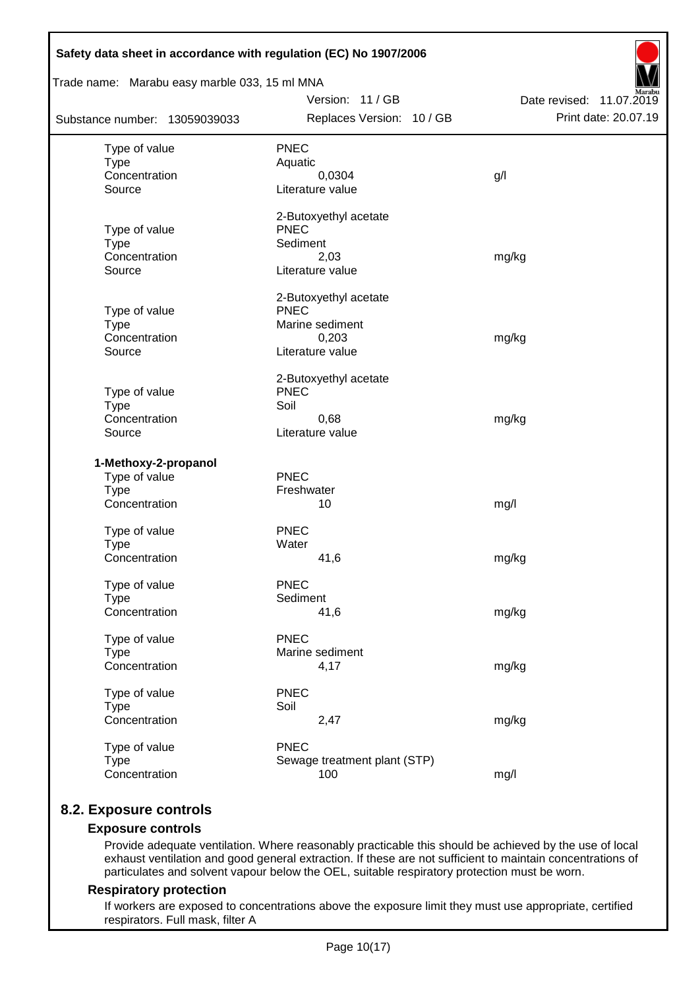| Safety data sheet in accordance with regulation (EC) No 1907/2006<br>Trade name: Marabu easy marble 033, 15 ml MNA |                                                                                      |                                                  |
|--------------------------------------------------------------------------------------------------------------------|--------------------------------------------------------------------------------------|--------------------------------------------------|
| Substance number: 13059039033                                                                                      | Version: 11 / GB<br>Replaces Version: 10 / GB                                        | Date revised: 11.07.2019<br>Print date: 20.07.19 |
|                                                                                                                    |                                                                                      |                                                  |
| Type of value<br><b>Type</b><br>Concentration<br>Source                                                            | <b>PNEC</b><br>Aquatic<br>0,0304<br>Literature value                                 | g/                                               |
| Type of value<br><b>Type</b><br>Concentration<br>Source                                                            | 2-Butoxyethyl acetate<br><b>PNEC</b><br>Sediment<br>2,03<br>Literature value         | mg/kg                                            |
| Type of value<br><b>Type</b><br>Concentration<br>Source                                                            | 2-Butoxyethyl acetate<br><b>PNEC</b><br>Marine sediment<br>0,203<br>Literature value | mg/kg                                            |
| Type of value<br><b>Type</b><br>Concentration<br>Source                                                            | 2-Butoxyethyl acetate<br><b>PNEC</b><br>Soil<br>0,68<br>Literature value             | mg/kg                                            |
| 1-Methoxy-2-propanol<br>Type of value<br><b>Type</b><br>Concentration                                              | <b>PNEC</b><br>Freshwater<br>10                                                      | mg/l                                             |
| Type of value<br><b>Type</b><br>Concentration                                                                      | <b>PNEC</b><br>Water<br>41,6                                                         | mg/kg                                            |
| Type of value<br><b>Type</b><br>Concentration                                                                      | <b>PNEC</b><br>Sediment<br>41,6                                                      | mg/kg                                            |
| Type of value<br><b>Type</b><br>Concentration                                                                      | <b>PNEC</b><br>Marine sediment<br>4,17                                               | mg/kg                                            |
| Type of value<br><b>Type</b><br>Concentration                                                                      | <b>PNEC</b><br>Soil<br>2,47                                                          | mg/kg                                            |
| Type of value<br><b>Type</b><br>Concentration                                                                      | <b>PNEC</b><br>Sewage treatment plant (STP)<br>100                                   | mg/l                                             |

# **8.2. Exposure controls**

### **Exposure controls**

Provide adequate ventilation. Where reasonably practicable this should be achieved by the use of local exhaust ventilation and good general extraction. If these are not sufficient to maintain concentrations of particulates and solvent vapour below the OEL, suitable respiratory protection must be worn.

#### **Respiratory protection**

If workers are exposed to concentrations above the exposure limit they must use appropriate, certified respirators. Full mask, filter A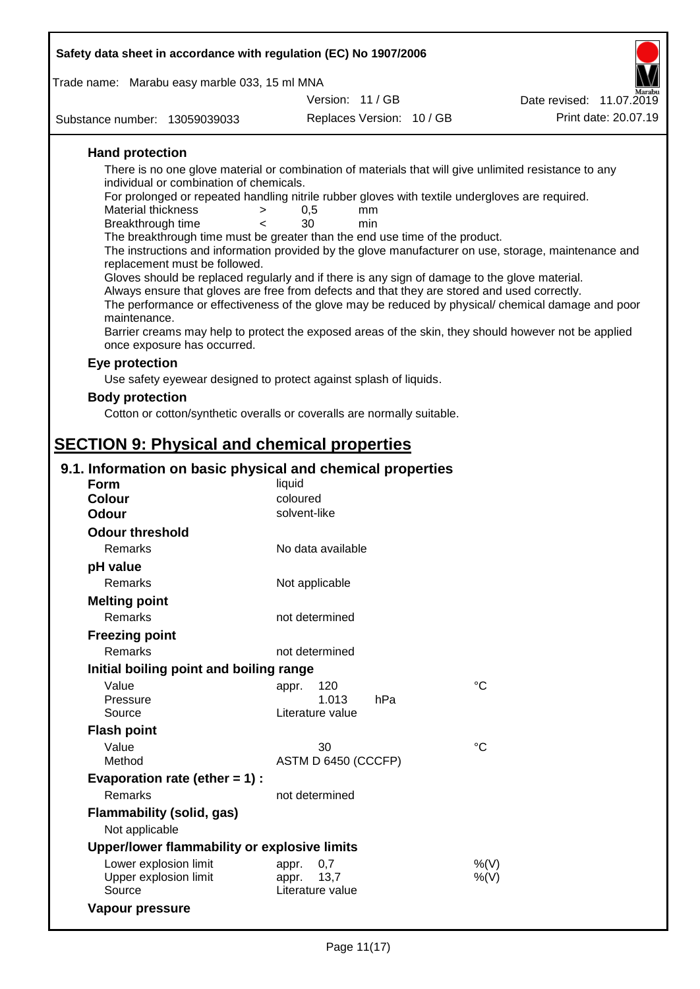| Safety data sheet in accordance with regulation (EC) No 1907/2006                                                                   |                                   |                           |                                                                                                      |
|-------------------------------------------------------------------------------------------------------------------------------------|-----------------------------------|---------------------------|------------------------------------------------------------------------------------------------------|
| Trade name: Marabu easy marble 033, 15 ml MNA                                                                                       |                                   |                           |                                                                                                      |
|                                                                                                                                     | Version: 11/GB                    |                           | Date revised: 11.07.2019                                                                             |
| Substance number: 13059039033                                                                                                       |                                   | Replaces Version: 10 / GB | Print date: 20.07.19                                                                                 |
| <b>Hand protection</b>                                                                                                              |                                   |                           |                                                                                                      |
| There is no one glove material or combination of materials that will give unlimited resistance to any                               |                                   |                           |                                                                                                      |
| individual or combination of chemicals.                                                                                             |                                   |                           |                                                                                                      |
| For prolonged or repeated handling nitrile rubber gloves with textile undergloves are required.<br>Material thickness<br>>          | 0,5<br>mm                         |                           |                                                                                                      |
| Breakthrough time<br>$\lt$                                                                                                          | 30<br>min                         |                           |                                                                                                      |
| The breakthrough time must be greater than the end use time of the product.                                                         |                                   |                           |                                                                                                      |
| replacement must be followed.                                                                                                       |                                   |                           | The instructions and information provided by the glove manufacturer on use, storage, maintenance and |
| Gloves should be replaced regularly and if there is any sign of damage to the glove material.                                       |                                   |                           |                                                                                                      |
| Always ensure that gloves are free from defects and that they are stored and used correctly.                                        |                                   |                           |                                                                                                      |
| maintenance.                                                                                                                        |                                   |                           | The performance or effectiveness of the glove may be reduced by physical/ chemical damage and poor   |
| Barrier creams may help to protect the exposed areas of the skin, they should however not be applied<br>once exposure has occurred. |                                   |                           |                                                                                                      |
| Eye protection                                                                                                                      |                                   |                           |                                                                                                      |
| Use safety eyewear designed to protect against splash of liquids.                                                                   |                                   |                           |                                                                                                      |
| <b>Body protection</b>                                                                                                              |                                   |                           |                                                                                                      |
| Cotton or cotton/synthetic overalls or coveralls are normally suitable.                                                             |                                   |                           |                                                                                                      |
| <b>SECTION 9: Physical and chemical properties</b>                                                                                  |                                   |                           |                                                                                                      |
| 9.1. Information on basic physical and chemical properties                                                                          |                                   |                           |                                                                                                      |
| <b>Form</b>                                                                                                                         | liquid                            |                           |                                                                                                      |
| <b>Colour</b>                                                                                                                       | coloured                          |                           |                                                                                                      |
| <b>Odour</b>                                                                                                                        | solvent-like                      |                           |                                                                                                      |
| <b>Odour threshold</b>                                                                                                              |                                   |                           |                                                                                                      |
| Remarks                                                                                                                             | No data available                 |                           |                                                                                                      |
| pH value                                                                                                                            |                                   |                           |                                                                                                      |
| Remarks                                                                                                                             | Not applicable                    |                           |                                                                                                      |
| <b>Melting point</b>                                                                                                                |                                   |                           |                                                                                                      |
| Remarks                                                                                                                             | not determined                    |                           |                                                                                                      |
| <b>Freezing point</b>                                                                                                               |                                   |                           |                                                                                                      |
| Remarks                                                                                                                             | not determined                    |                           |                                                                                                      |
| Initial boiling point and boiling range                                                                                             |                                   |                           |                                                                                                      |
| Value                                                                                                                               | 120<br>appr.                      | hPa                       | $^{\circ}C$                                                                                          |
| Pressure<br>Source                                                                                                                  | 1.013<br>Literature value         |                           |                                                                                                      |
| <b>Flash point</b>                                                                                                                  |                                   |                           |                                                                                                      |
| Value                                                                                                                               | 30                                |                           | $^{\circ}C$                                                                                          |
| Method                                                                                                                              | ASTM D 6450 (CCCFP)               |                           |                                                                                                      |
| Evaporation rate (ether $= 1$ ) :                                                                                                   |                                   |                           |                                                                                                      |
| Remarks                                                                                                                             | not determined                    |                           |                                                                                                      |
| <b>Flammability (solid, gas)</b>                                                                                                    |                                   |                           |                                                                                                      |
| Not applicable                                                                                                                      |                                   |                           |                                                                                                      |
| Upper/lower flammability or explosive limits                                                                                        |                                   |                           |                                                                                                      |
| Lower explosion limit                                                                                                               | 0,7<br>appr.                      |                           | %(V)                                                                                                 |
| Upper explosion limit<br>Source                                                                                                     | 13,7<br>appr.<br>Literature value |                           | $%$ (V)                                                                                              |

**Vapour pressure**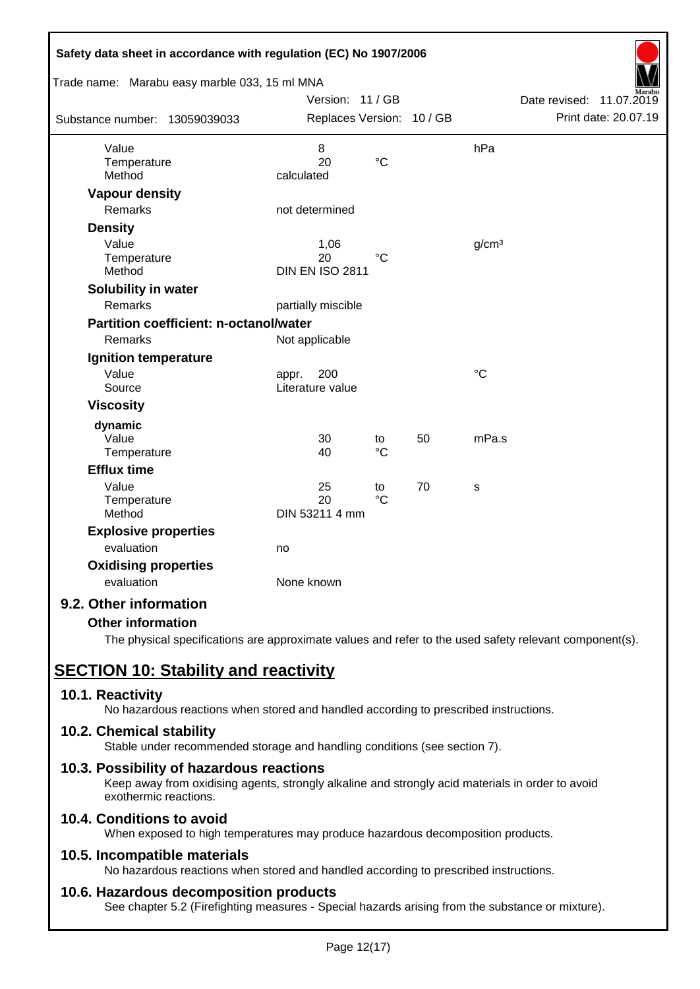| Safety data sheet in accordance with regulation (EC) No 1907/2006 |                           |                 |    |                   |                             |
|-------------------------------------------------------------------|---------------------------|-----------------|----|-------------------|-----------------------------|
| Trade name: Marabu easy marble 033, 15 ml MNA                     |                           |                 |    |                   |                             |
|                                                                   | Version: 11 / GB          |                 |    |                   | Date revised:<br>11.07.2019 |
| Substance number: 13059039033                                     | Replaces Version: 10 / GB |                 |    |                   | Print date: 20.07.19        |
| Value                                                             | 8                         |                 |    | hPa               |                             |
| Temperature                                                       | 20                        | $\rm ^{\circ}C$ |    |                   |                             |
| Method                                                            | calculated                |                 |    |                   |                             |
| <b>Vapour density</b>                                             |                           |                 |    |                   |                             |
| <b>Remarks</b>                                                    | not determined            |                 |    |                   |                             |
| <b>Density</b>                                                    |                           |                 |    |                   |                             |
| Value                                                             | 1,06                      |                 |    | g/cm <sup>3</sup> |                             |
| Temperature                                                       | 20                        | $^{\circ}C$     |    |                   |                             |
| Method                                                            | <b>DIN EN ISO 2811</b>    |                 |    |                   |                             |
| Solubility in water                                               |                           |                 |    |                   |                             |
| Remarks                                                           | partially miscible        |                 |    |                   |                             |
| <b>Partition coefficient: n-octanol/water</b>                     |                           |                 |    |                   |                             |
| Remarks                                                           | Not applicable            |                 |    |                   |                             |
| Ignition temperature                                              |                           |                 |    |                   |                             |
| Value                                                             | 200<br>appr.              |                 |    | $\rm ^{\circ}C$   |                             |
| Source                                                            | Literature value          |                 |    |                   |                             |
| <b>Viscosity</b>                                                  |                           |                 |    |                   |                             |
| dynamic                                                           |                           |                 |    |                   |                             |
| Value                                                             | 30                        | to              | 50 | mPa.s             |                             |
| Temperature                                                       | 40                        | $\rm ^{\circ}C$ |    |                   |                             |
| <b>Efflux time</b>                                                |                           |                 |    |                   |                             |
| Value                                                             | 25                        | to              | 70 | S                 |                             |
| Temperature                                                       | 20                        | $\rm ^{\circ}C$ |    |                   |                             |
| Method                                                            | DIN 53211 4 mm            |                 |    |                   |                             |
| <b>Explosive properties</b>                                       |                           |                 |    |                   |                             |
| evaluation                                                        | no                        |                 |    |                   |                             |
| <b>Oxidising properties</b>                                       |                           |                 |    |                   |                             |
| evaluation                                                        | None known                |                 |    |                   |                             |
| 9.2. Other information                                            |                           |                 |    |                   |                             |

### **Other information**

The physical specifications are approximate values and refer to the used safety relevant component(s).

# **SECTION 10: Stability and reactivity**

### **10.1. Reactivity**

No hazardous reactions when stored and handled according to prescribed instructions.

### **10.2. Chemical stability**

Stable under recommended storage and handling conditions (see section 7).

### **10.3. Possibility of hazardous reactions**

Keep away from oxidising agents, strongly alkaline and strongly acid materials in order to avoid exothermic reactions.

## **10.4. Conditions to avoid**

When exposed to high temperatures may produce hazardous decomposition products.

### **10.5. Incompatible materials**

No hazardous reactions when stored and handled according to prescribed instructions.

### **10.6. Hazardous decomposition products**

See chapter 5.2 (Firefighting measures - Special hazards arising from the substance or mixture).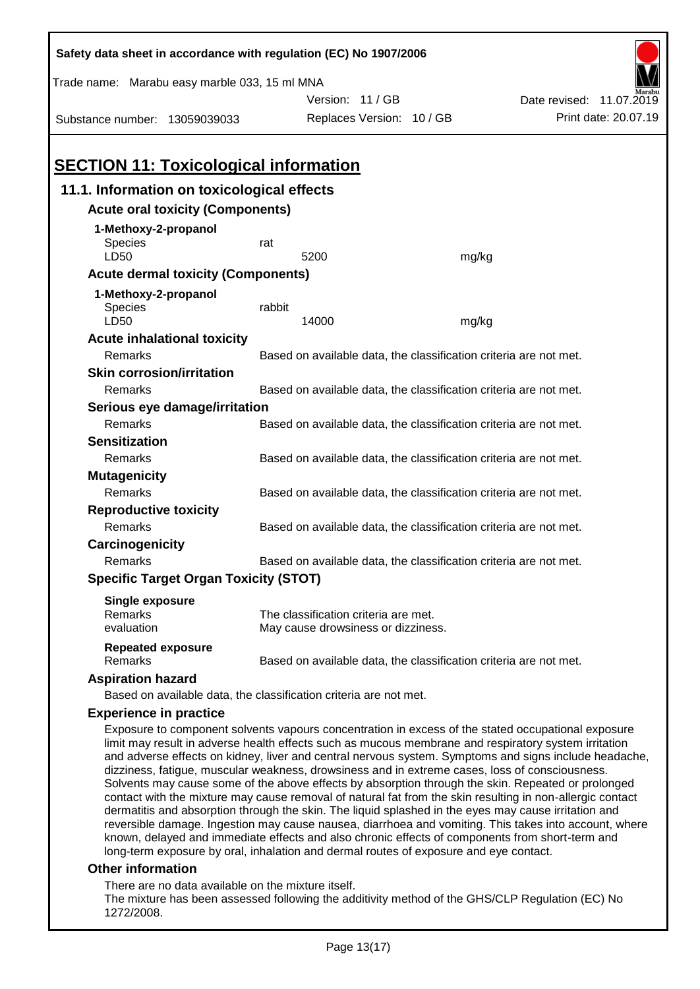| Safety data sheet in accordance with regulation (EC) No 1907/2006                                                                                                                                                                                                                                              |                                                                   |                                      |  |       |                                                                                                                                                                                                                                                                                                                                                                                                                                |  |
|----------------------------------------------------------------------------------------------------------------------------------------------------------------------------------------------------------------------------------------------------------------------------------------------------------------|-------------------------------------------------------------------|--------------------------------------|--|-------|--------------------------------------------------------------------------------------------------------------------------------------------------------------------------------------------------------------------------------------------------------------------------------------------------------------------------------------------------------------------------------------------------------------------------------|--|
| Trade name: Marabu easy marble 033, 15 ml MNA                                                                                                                                                                                                                                                                  |                                                                   |                                      |  |       |                                                                                                                                                                                                                                                                                                                                                                                                                                |  |
|                                                                                                                                                                                                                                                                                                                |                                                                   | Version: 11/GB                       |  |       | Date revised: 11.07.2019                                                                                                                                                                                                                                                                                                                                                                                                       |  |
| Substance number: 13059039033                                                                                                                                                                                                                                                                                  |                                                                   | Replaces Version: 10 / GB            |  |       | Print date: 20.07.19                                                                                                                                                                                                                                                                                                                                                                                                           |  |
|                                                                                                                                                                                                                                                                                                                |                                                                   |                                      |  |       |                                                                                                                                                                                                                                                                                                                                                                                                                                |  |
| <b>SECTION 11: Toxicological information</b>                                                                                                                                                                                                                                                                   |                                                                   |                                      |  |       |                                                                                                                                                                                                                                                                                                                                                                                                                                |  |
| 11.1. Information on toxicological effects                                                                                                                                                                                                                                                                     |                                                                   |                                      |  |       |                                                                                                                                                                                                                                                                                                                                                                                                                                |  |
| <b>Acute oral toxicity (Components)</b>                                                                                                                                                                                                                                                                        |                                                                   |                                      |  |       |                                                                                                                                                                                                                                                                                                                                                                                                                                |  |
| 1-Methoxy-2-propanol                                                                                                                                                                                                                                                                                           |                                                                   |                                      |  |       |                                                                                                                                                                                                                                                                                                                                                                                                                                |  |
| Species                                                                                                                                                                                                                                                                                                        | rat                                                               |                                      |  |       |                                                                                                                                                                                                                                                                                                                                                                                                                                |  |
| LD50                                                                                                                                                                                                                                                                                                           |                                                                   | 5200                                 |  | mg/kg |                                                                                                                                                                                                                                                                                                                                                                                                                                |  |
| <b>Acute dermal toxicity (Components)</b>                                                                                                                                                                                                                                                                      |                                                                   |                                      |  |       |                                                                                                                                                                                                                                                                                                                                                                                                                                |  |
| 1-Methoxy-2-propanol                                                                                                                                                                                                                                                                                           |                                                                   |                                      |  |       |                                                                                                                                                                                                                                                                                                                                                                                                                                |  |
| Species<br>LD50                                                                                                                                                                                                                                                                                                | rabbit                                                            | 14000                                |  |       |                                                                                                                                                                                                                                                                                                                                                                                                                                |  |
| <b>Acute inhalational toxicity</b>                                                                                                                                                                                                                                                                             |                                                                   |                                      |  | mg/kg |                                                                                                                                                                                                                                                                                                                                                                                                                                |  |
| <b>Remarks</b>                                                                                                                                                                                                                                                                                                 |                                                                   |                                      |  |       | Based on available data, the classification criteria are not met.                                                                                                                                                                                                                                                                                                                                                              |  |
| <b>Skin corrosion/irritation</b>                                                                                                                                                                                                                                                                               |                                                                   |                                      |  |       |                                                                                                                                                                                                                                                                                                                                                                                                                                |  |
| Remarks                                                                                                                                                                                                                                                                                                        |                                                                   |                                      |  |       | Based on available data, the classification criteria are not met.                                                                                                                                                                                                                                                                                                                                                              |  |
| Serious eye damage/irritation                                                                                                                                                                                                                                                                                  |                                                                   |                                      |  |       |                                                                                                                                                                                                                                                                                                                                                                                                                                |  |
| Remarks                                                                                                                                                                                                                                                                                                        |                                                                   |                                      |  |       | Based on available data, the classification criteria are not met.                                                                                                                                                                                                                                                                                                                                                              |  |
| <b>Sensitization</b>                                                                                                                                                                                                                                                                                           |                                                                   |                                      |  |       |                                                                                                                                                                                                                                                                                                                                                                                                                                |  |
| Remarks                                                                                                                                                                                                                                                                                                        |                                                                   |                                      |  |       | Based on available data, the classification criteria are not met.                                                                                                                                                                                                                                                                                                                                                              |  |
| <b>Mutagenicity</b>                                                                                                                                                                                                                                                                                            |                                                                   |                                      |  |       |                                                                                                                                                                                                                                                                                                                                                                                                                                |  |
| Remarks                                                                                                                                                                                                                                                                                                        |                                                                   |                                      |  |       | Based on available data, the classification criteria are not met.                                                                                                                                                                                                                                                                                                                                                              |  |
| <b>Reproductive toxicity</b>                                                                                                                                                                                                                                                                                   |                                                                   |                                      |  |       |                                                                                                                                                                                                                                                                                                                                                                                                                                |  |
| Remarks                                                                                                                                                                                                                                                                                                        |                                                                   |                                      |  |       | Based on available data, the classification criteria are not met.                                                                                                                                                                                                                                                                                                                                                              |  |
| Carcinogenicity                                                                                                                                                                                                                                                                                                |                                                                   |                                      |  |       |                                                                                                                                                                                                                                                                                                                                                                                                                                |  |
| Remarks                                                                                                                                                                                                                                                                                                        | Based on available data, the classification criteria are not met. |                                      |  |       |                                                                                                                                                                                                                                                                                                                                                                                                                                |  |
| <b>Specific Target Organ Toxicity (STOT)</b>                                                                                                                                                                                                                                                                   |                                                                   |                                      |  |       |                                                                                                                                                                                                                                                                                                                                                                                                                                |  |
| <b>Single exposure</b>                                                                                                                                                                                                                                                                                         |                                                                   |                                      |  |       |                                                                                                                                                                                                                                                                                                                                                                                                                                |  |
| Remarks                                                                                                                                                                                                                                                                                                        |                                                                   | The classification criteria are met. |  |       |                                                                                                                                                                                                                                                                                                                                                                                                                                |  |
| evaluation                                                                                                                                                                                                                                                                                                     |                                                                   | May cause drowsiness or dizziness.   |  |       |                                                                                                                                                                                                                                                                                                                                                                                                                                |  |
| <b>Repeated exposure</b><br>Remarks                                                                                                                                                                                                                                                                            |                                                                   |                                      |  |       | Based on available data, the classification criteria are not met.                                                                                                                                                                                                                                                                                                                                                              |  |
| <b>Aspiration hazard</b>                                                                                                                                                                                                                                                                                       |                                                                   |                                      |  |       |                                                                                                                                                                                                                                                                                                                                                                                                                                |  |
| Based on available data, the classification criteria are not met.                                                                                                                                                                                                                                              |                                                                   |                                      |  |       |                                                                                                                                                                                                                                                                                                                                                                                                                                |  |
| <b>Experience in practice</b>                                                                                                                                                                                                                                                                                  |                                                                   |                                      |  |       |                                                                                                                                                                                                                                                                                                                                                                                                                                |  |
| limit may result in adverse health effects such as mucous membrane and respiratory system irritation<br>dizziness, fatigue, muscular weakness, drowsiness and in extreme cases, loss of consciousness.<br>dermatitis and absorption through the skin. The liquid splashed in the eyes may cause irritation and |                                                                   |                                      |  |       | Exposure to component solvents vapours concentration in excess of the stated occupational exposure<br>and adverse effects on kidney, liver and central nervous system. Symptoms and signs include headache,<br>Solvents may cause some of the above effects by absorption through the skin. Repeated or prolonged<br>contact with the mixture may cause removal of natural fat from the skin resulting in non-allergic contact |  |
|                                                                                                                                                                                                                                                                                                                |                                                                   |                                      |  |       | reversible damage. Ingestion may cause nausea, diarrhoea and vomiting. This takes into account, where                                                                                                                                                                                                                                                                                                                          |  |

### long-term exposure by oral, inhalation and dermal routes of exposure and eye contact. **Other information**

There are no data available on the mixture itself.

The mixture has been assessed following the additivity method of the GHS/CLP Regulation (EC) No 1272/2008.

known, delayed and immediate effects and also chronic effects of components from short-term and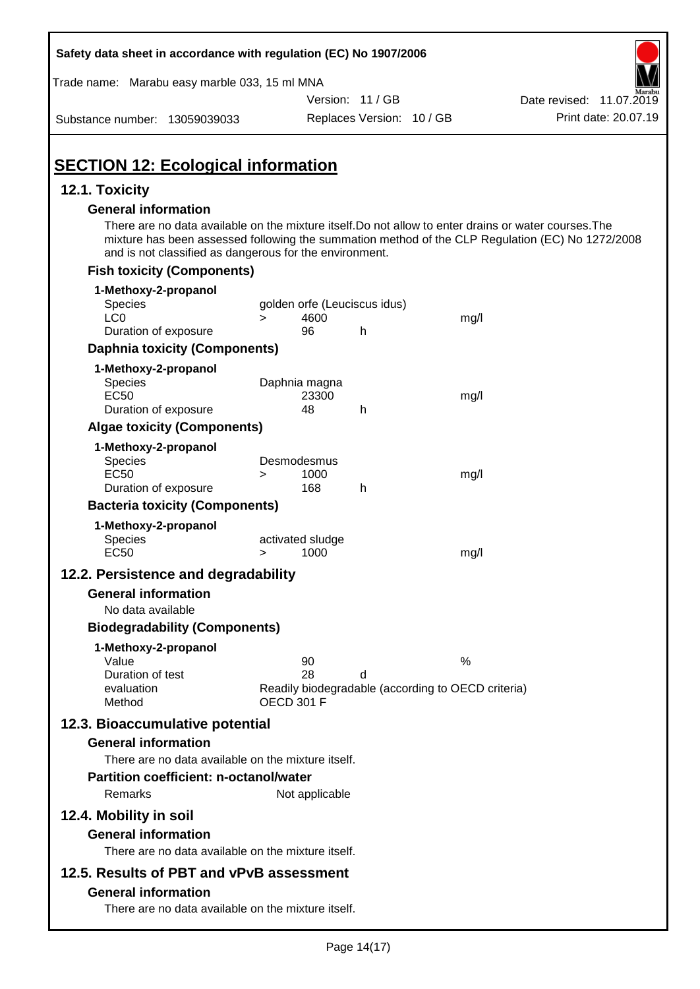| Safety data sheet in accordance with regulation (EC) No 1907/2006                                                                                                                              |                                 |                              |                                                    |                                                                                                  |
|------------------------------------------------------------------------------------------------------------------------------------------------------------------------------------------------|---------------------------------|------------------------------|----------------------------------------------------|--------------------------------------------------------------------------------------------------|
| Trade name: Marabu easy marble 033, 15 ml MNA                                                                                                                                                  |                                 |                              |                                                    |                                                                                                  |
|                                                                                                                                                                                                |                                 | Version: 11 / GB             |                                                    | Date revised: 11.07.2019                                                                         |
| Substance number: 13059039033                                                                                                                                                                  |                                 | Replaces Version: 10 / GB    |                                                    | Print date: 20.07.19                                                                             |
| <b>SECTION 12: Ecological information</b>                                                                                                                                                      |                                 |                              |                                                    |                                                                                                  |
| 12.1. Toxicity                                                                                                                                                                                 |                                 |                              |                                                    |                                                                                                  |
| <b>General information</b><br>There are no data available on the mixture itself. Do not allow to enter drains or water courses. The<br>and is not classified as dangerous for the environment. |                                 |                              |                                                    | mixture has been assessed following the summation method of the CLP Regulation (EC) No 1272/2008 |
| <b>Fish toxicity (Components)</b>                                                                                                                                                              |                                 |                              |                                                    |                                                                                                  |
| 1-Methoxy-2-propanol                                                                                                                                                                           |                                 |                              |                                                    |                                                                                                  |
| Species                                                                                                                                                                                        |                                 | golden orfe (Leuciscus idus) |                                                    |                                                                                                  |
| LC <sub>0</sub><br>Duration of exposure                                                                                                                                                        | 4600<br>$\geq$<br>96            | h                            | mg/l                                               |                                                                                                  |
| <b>Daphnia toxicity (Components)</b>                                                                                                                                                           |                                 |                              |                                                    |                                                                                                  |
|                                                                                                                                                                                                |                                 |                              |                                                    |                                                                                                  |
| 1-Methoxy-2-propanol<br>Species<br><b>EC50</b><br>Duration of exposure                                                                                                                         | Daphnia magna<br>23300<br>48    | h                            | mg/l                                               |                                                                                                  |
| <b>Algae toxicity (Components)</b>                                                                                                                                                             |                                 |                              |                                                    |                                                                                                  |
|                                                                                                                                                                                                |                                 |                              |                                                    |                                                                                                  |
| 1-Methoxy-2-propanol<br>Species<br><b>EC50</b><br>Duration of exposure                                                                                                                         | Desmodesmus<br>1000<br>><br>168 | h                            | mg/l                                               |                                                                                                  |
| <b>Bacteria toxicity (Components)</b>                                                                                                                                                          |                                 |                              |                                                    |                                                                                                  |
| 1-Methoxy-2-propanol                                                                                                                                                                           |                                 |                              |                                                    |                                                                                                  |
| <b>Species</b><br><b>EC50</b>                                                                                                                                                                  | activated sludge<br>1000<br>>   |                              | mg/l                                               |                                                                                                  |
| 12.2. Persistence and degradability                                                                                                                                                            |                                 |                              |                                                    |                                                                                                  |
| <b>General information</b>                                                                                                                                                                     |                                 |                              |                                                    |                                                                                                  |
| No data available                                                                                                                                                                              |                                 |                              |                                                    |                                                                                                  |
| <b>Biodegradability (Components)</b>                                                                                                                                                           |                                 |                              |                                                    |                                                                                                  |
| 1-Methoxy-2-propanol                                                                                                                                                                           |                                 |                              |                                                    |                                                                                                  |
| Value                                                                                                                                                                                          | 90                              |                              | %                                                  |                                                                                                  |
| Duration of test<br>evaluation                                                                                                                                                                 | 28                              | d                            | Readily biodegradable (according to OECD criteria) |                                                                                                  |
| Method                                                                                                                                                                                         | <b>OECD 301 F</b>               |                              |                                                    |                                                                                                  |
| 12.3. Bioaccumulative potential<br><b>General information</b><br>There are no data available on the mixture itself.                                                                            |                                 |                              |                                                    |                                                                                                  |
| Partition coefficient: n-octanol/water<br>Remarks                                                                                                                                              | Not applicable                  |                              |                                                    |                                                                                                  |
| 12.4. Mobility in soil<br><b>General information</b>                                                                                                                                           |                                 |                              |                                                    |                                                                                                  |
| There are no data available on the mixture itself.                                                                                                                                             |                                 |                              |                                                    |                                                                                                  |
| 12.5. Results of PBT and vPvB assessment                                                                                                                                                       |                                 |                              |                                                    |                                                                                                  |
| <b>General information</b><br>There are no data available on the mixture itself.                                                                                                               |                                 |                              |                                                    |                                                                                                  |
|                                                                                                                                                                                                |                                 |                              |                                                    |                                                                                                  |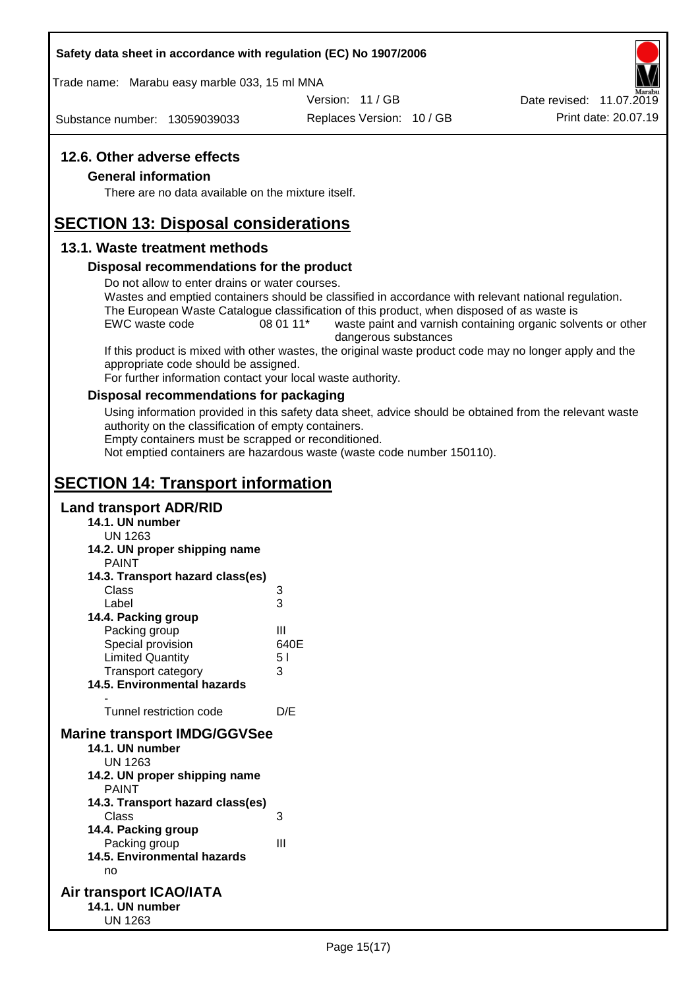### **Safety data sheet in accordance with regulation (EC) No 1907/2006**

Trade name: Marabu easy marble 033, 15 ml MNA

Version: 11 / GB

Substance number: 13059039033

Replaces Version: 10 / GB Print date: 20.07.19 Date revised: 11.07.2019

## **12.6. Other adverse effects**

#### **General information**

There are no data available on the mixture itself.

# **SECTION 13: Disposal considerations**

### **13.1. Waste treatment methods**

### **Disposal recommendations for the product**

Do not allow to enter drains or water courses.

Wastes and emptied containers should be classified in accordance with relevant national regulation. The European Waste Catalogue classification of this product, when disposed of as waste is

EWC waste code 08 01 11<sup>\*</sup> waste paint and varnish containing organic solvents or other dangerous substances

If this product is mixed with other wastes, the original waste product code may no longer apply and the appropriate code should be assigned.

For further information contact your local waste authority.

### **Disposal recommendations for packaging**

Using information provided in this safety data sheet, advice should be obtained from the relevant waste authority on the classification of empty containers.

Empty containers must be scrapped or reconditioned.

Not emptied containers are hazardous waste (waste code number 150110).

# **SECTION 14: Transport information**

### **Land transport ADR/RID**

- **14.1. UN number**
	- UN 1263
- **14.2. UN proper shipping name**

| 14.3. Transport hazard class(es)    |
|-------------------------------------|
| 3                                   |
| 3                                   |
|                                     |
| Ш                                   |
| 640E                                |
| 51                                  |
| 3                                   |
|                                     |
|                                     |
| D/E                                 |
| <b>Marine transport IMDG/GGVSee</b> |
|                                     |
|                                     |
|                                     |
|                                     |
| 14.3. Transport hazard class(es)    |
| 3                                   |
|                                     |
| Ш                                   |
|                                     |

- **14.5. Environmental hazards** no
- **Air transport ICAO/IATA 14.1. UN number** UN 1263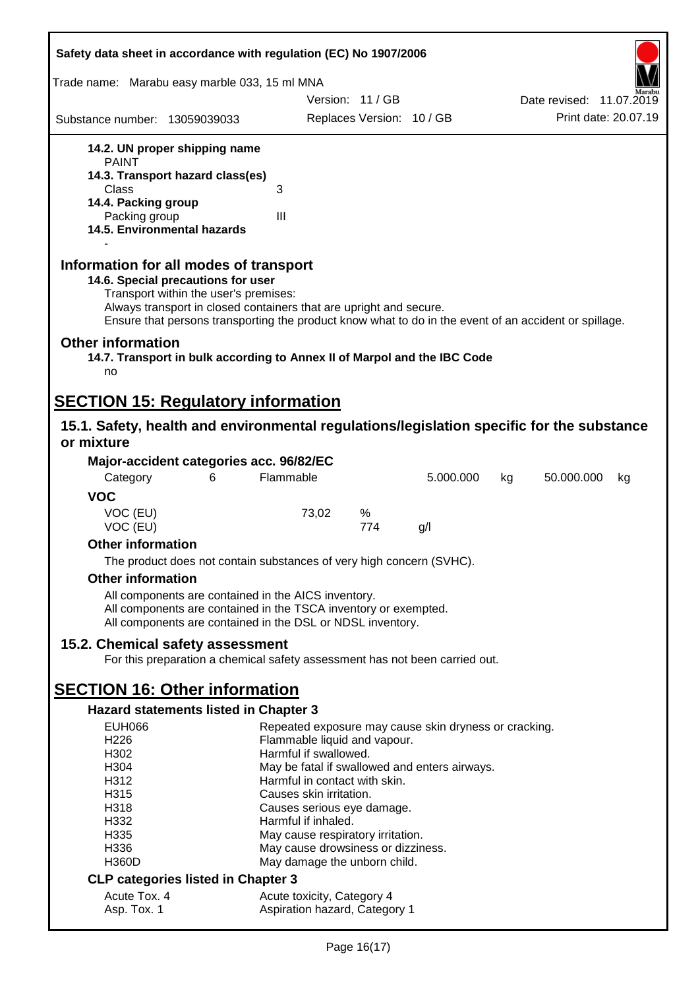| Safety data sheet in accordance with regulation (EC) No 1907/2006                                                                                                                                                                                                                                    |                                                             |                           |           |                          |
|------------------------------------------------------------------------------------------------------------------------------------------------------------------------------------------------------------------------------------------------------------------------------------------------------|-------------------------------------------------------------|---------------------------|-----------|--------------------------|
| Trade name: Marabu easy marble 033, 15 ml MNA                                                                                                                                                                                                                                                        |                                                             |                           |           |                          |
|                                                                                                                                                                                                                                                                                                      |                                                             | Version: 11/GB            |           | Date revised: 11.07.2019 |
| Substance number: 13059039033                                                                                                                                                                                                                                                                        |                                                             | Replaces Version: 10 / GB |           | Print date: 20.07.19     |
| 14.2. UN proper shipping name                                                                                                                                                                                                                                                                        |                                                             |                           |           |                          |
| <b>PAINT</b><br>14.3. Transport hazard class(es)                                                                                                                                                                                                                                                     |                                                             |                           |           |                          |
| Class                                                                                                                                                                                                                                                                                                | 3                                                           |                           |           |                          |
| 14.4. Packing group                                                                                                                                                                                                                                                                                  |                                                             |                           |           |                          |
| Packing group<br>14.5. Environmental hazards                                                                                                                                                                                                                                                         | $\mathbf{III}$                                              |                           |           |                          |
| Information for all modes of transport<br>14.6. Special precautions for user<br>Transport within the user's premises:<br>Always transport in closed containers that are upright and secure.<br>Ensure that persons transporting the product know what to do in the event of an accident or spillage. |                                                             |                           |           |                          |
| <b>Other information</b><br>14.7. Transport in bulk according to Annex II of Marpol and the IBC Code<br>no                                                                                                                                                                                           |                                                             |                           |           |                          |
| <b>SECTION 15: Regulatory information</b>                                                                                                                                                                                                                                                            |                                                             |                           |           |                          |
| 15.1. Safety, health and environmental regulations/legislation specific for the substance<br>or mixture                                                                                                                                                                                              |                                                             |                           |           |                          |
| Major-accident categories acc. 96/82/EC                                                                                                                                                                                                                                                              |                                                             |                           |           |                          |
| Category<br>6                                                                                                                                                                                                                                                                                        | Flammable                                                   |                           | 5.000.000 | 50.000.000<br>kg<br>kg   |
| <b>VOC</b>                                                                                                                                                                                                                                                                                           |                                                             |                           |           |                          |
| VOC (EU)<br>VOC (EU)                                                                                                                                                                                                                                                                                 | 73,02                                                       | %<br>774                  | g/        |                          |
| <b>Other information</b>                                                                                                                                                                                                                                                                             |                                                             |                           |           |                          |
| The product does not contain substances of very high concern (SVHC).                                                                                                                                                                                                                                 |                                                             |                           |           |                          |
| <b>Other information</b>                                                                                                                                                                                                                                                                             |                                                             |                           |           |                          |
| All components are contained in the AICS inventory.<br>All components are contained in the TSCA inventory or exempted.<br>All components are contained in the DSL or NDSL inventory.                                                                                                                 |                                                             |                           |           |                          |
| 15.2. Chemical safety assessment<br>For this preparation a chemical safety assessment has not been carried out.                                                                                                                                                                                      |                                                             |                           |           |                          |
| <b>SECTION 16: Other information</b>                                                                                                                                                                                                                                                                 |                                                             |                           |           |                          |
| <b>Hazard statements listed in Chapter 3</b>                                                                                                                                                                                                                                                         |                                                             |                           |           |                          |
| <b>EUH066</b>                                                                                                                                                                                                                                                                                        | Repeated exposure may cause skin dryness or cracking.       |                           |           |                          |
| H <sub>226</sub>                                                                                                                                                                                                                                                                                     | Flammable liquid and vapour.                                |                           |           |                          |
| H302                                                                                                                                                                                                                                                                                                 | Harmful if swallowed.                                       |                           |           |                          |
| H304                                                                                                                                                                                                                                                                                                 | May be fatal if swallowed and enters airways.               |                           |           |                          |
| H312                                                                                                                                                                                                                                                                                                 | Harmful in contact with skin.                               |                           |           |                          |
| H315<br>H318                                                                                                                                                                                                                                                                                         | Causes skin irritation.<br>Causes serious eye damage.       |                           |           |                          |
| H332                                                                                                                                                                                                                                                                                                 | Harmful if inhaled.                                         |                           |           |                          |
| H335                                                                                                                                                                                                                                                                                                 | May cause respiratory irritation.                           |                           |           |                          |
| H336                                                                                                                                                                                                                                                                                                 | May cause drowsiness or dizziness.                          |                           |           |                          |
| <b>H360D</b>                                                                                                                                                                                                                                                                                         | May damage the unborn child.                                |                           |           |                          |
| <b>CLP categories listed in Chapter 3</b>                                                                                                                                                                                                                                                            |                                                             |                           |           |                          |
| Acute Tox. 4<br>Asp. Tox. 1                                                                                                                                                                                                                                                                          | Acute toxicity, Category 4<br>Aspiration hazard, Category 1 |                           |           |                          |
|                                                                                                                                                                                                                                                                                                      |                                                             |                           |           |                          |